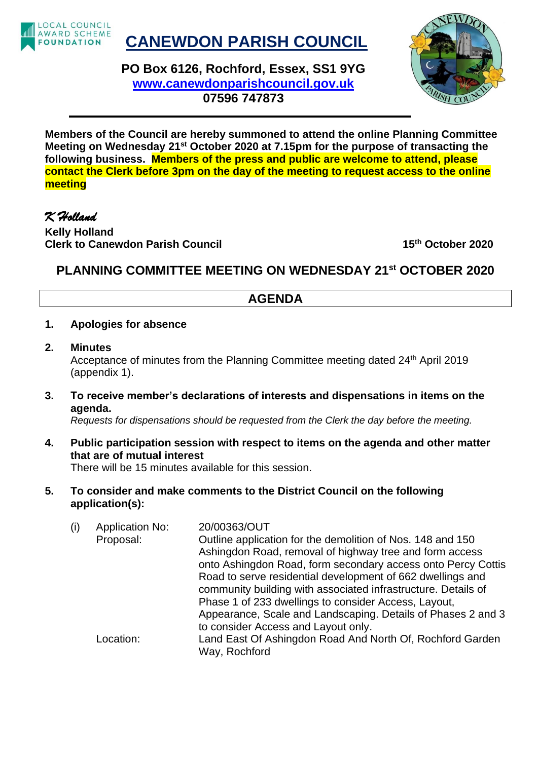

## **CANEWDON PARISH COUNCIL**

**PO Box 6126, Rochford, Essex, SS1 9YG [www.canewdonparishcouncil.gov.uk](http://www.canewdonparishcouncil.gov.uk/) 07596 747873**



**Members of the Council are hereby summoned to attend the online Planning Committee Meeting on Wednesday 21st October 2020 at 7.15pm for the purpose of transacting the following business. Members of the press and public are welcome to attend, please contact the Clerk before 3pm on the day of the meeting to request access to the online meeting**

## *K Holland*

**Kelly Holland Clerk to Canewdon Parish Council 15th October 2020**

## **PLANNING COMMITTEE MEETING ON WEDNESDAY 21st OCTOBER 2020**

## **AGENDA**

- **1. Apologies for absence**
- **2. Minutes** Acceptance of minutes from the Planning Committee meeting dated 24th April 2019 (appendix 1).
- **3. To receive member's declarations of interests and dispensations in items on the agenda.**

*Requests for dispensations should be requested from the Clerk the day before the meeting.*

- **4. Public participation session with respect to items on the agenda and other matter that are of mutual interest** There will be 15 minutes available for this session.
- **5. To consider and make comments to the District Council on the following application(s):**

| (i) | Application No: | 20/00363/OUT                                                  |
|-----|-----------------|---------------------------------------------------------------|
|     | Proposal:       | Outline application for the demolition of Nos. 148 and 150    |
|     |                 | Ashingdon Road, removal of highway tree and form access       |
|     |                 | onto Ashingdon Road, form secondary access onto Percy Cottis  |
|     |                 | Road to serve residential development of 662 dwellings and    |
|     |                 | community building with associated infrastructure. Details of |
|     |                 | Phase 1 of 233 dwellings to consider Access, Layout,          |
|     |                 | Appearance, Scale and Landscaping. Details of Phases 2 and 3  |
|     |                 | to consider Access and Layout only.                           |
|     | Location:       | Land East Of Ashingdon Road And North Of, Rochford Garden     |
|     |                 | Way, Rochford                                                 |